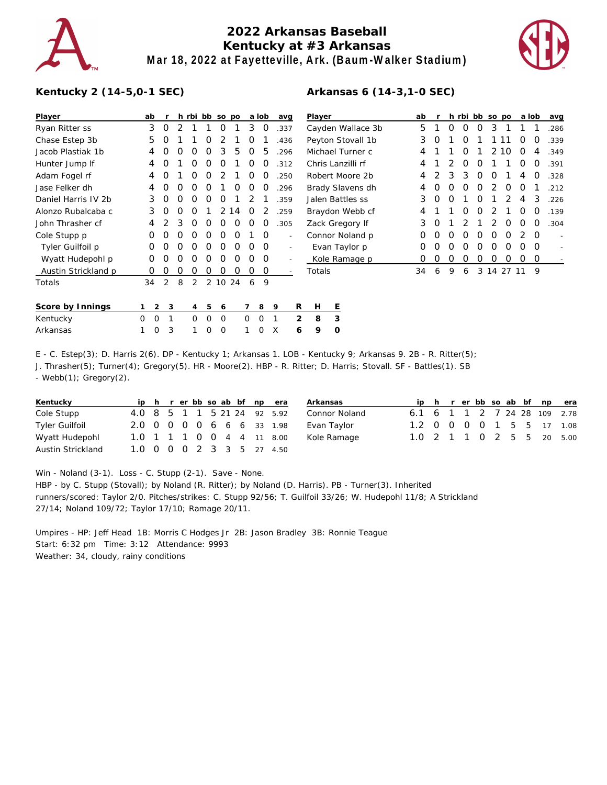

## **2022 Arkansas Baseball Kentucky at #3 Arkansas Mar 18, 2022 at Fayetteville, Ark. (Baum-Walker Stadium)**

**Arkansas 6 (14-3,1-0 SEC)**



## **Kentucky 2 (14-5,0-1 SEC)**

| Player              | ab               |                     |   | h rbi bb so po |   |         |   |   | a lob       | avg                      |   | Player            | ab |   |   |   | h rbi bb so po |            |    | a lob |          | avg  |
|---------------------|------------------|---------------------|---|----------------|---|---------|---|---|-------------|--------------------------|---|-------------------|----|---|---|---|----------------|------------|----|-------|----------|------|
| Ryan Ritter ss      | 3                | 0                   | 2 |                |   | Ο       |   | 3 | 0           | .337                     |   | Cayden Wallace 3b | 5  |   | Ο | 0 | Ο              | 3          |    |       |          | .286 |
| Chase Estep 3b      | 5                | O                   |   |                | O | 2       |   | 0 |             | .436                     |   | Peyton Stovall 1b | 3  | O |   | 0 |                |            | 1  | O     | 0        | .339 |
| Jacob Plastiak 1b   | 4                | Ο                   | O | Ο              | O | 3       | 5 | 0 | 5           | .296                     |   | Michael Turner c  | 4  |   |   | 0 |                | 2          | 10 | O     | 4        | .349 |
| Hunter Jump If      | 4                | O                   |   | 0              | Ο | O       |   | 0 | O           | .312                     |   | Chris Lanzilli rf | 4  |   |   | 0 | O              |            |    | Ο     | O        | .391 |
| Adam Fogel rf       | 4                | O                   |   | Ο              | O |         |   | O | O           | .250                     |   | Robert Moore 2b   | 4  |   | 3 | 3 | O              | O          |    | 4     | O        | .328 |
| Jase Felker dh      | 4                | Ο                   | Ο | Ο              | Ο |         | O | Ο | O           | .296                     |   | Brady Slavens dh  | 4  | Ο | Ο | 0 | Ο              |            | Ο  | Ο     |          | .212 |
| Daniel Harris IV 2b | 3                | Ο                   | 0 | Ο              | O | Ω       |   |   |             | .359                     |   | Jalen Battles ss  | 3  | 0 | Ο |   | Ο              |            |    | 4     | 3        | .226 |
| Alonzo Rubalcaba c  | 3                | 0                   | Ο | Ο              |   | 2       | 4 | O |             | .259                     |   | Braydon Webb cf   |    |   |   | 0 | 0              |            |    | Ο     | O        | .139 |
| John Thrasher cf    | 4                |                     | 3 | 0              | O | O       | 0 | 0 | Ο           | .305                     |   | Zack Gregory If   |    | Ο |   |   |                |            | O  | Ο     | 0        | .304 |
| Cole Stupp p        | Ο                | Ο                   | 0 | Ο              | 0 | Ο       | 0 |   | 0           |                          |   | Connor Noland p   | 0  | Ω | Ο | Ω | Ω              | Ω          | Ω  |       | $\Omega$ |      |
| Tyler Guilfoil p    | 0                | Ο                   | O | Ο              | O | 0       | 0 | 0 | 0           |                          |   | Evan Taylor p     | 0  | Ο | Ο | 0 | Ο              | Ο          | O  | Ω     | $\Omega$ |      |
| Wyatt Hudepohl p    | 0                | 0                   | Ο | Ο              | 0 | 0       | 0 | 0 | 0           |                          |   | Kole Ramage p     | 0  | 0 | 0 | 0 | 0              | 0          | 0  | O     | 0        |      |
| Austin Strickland p | Ο                | Ο                   | O | Ο              | Ο | Ο       | Ο | 0 | 0           | $\overline{\phantom{a}}$ |   | Totals            | 34 | 6 | 9 | 6 |                | 3 14 27 11 |    |       | 9        |      |
| Totals              | 34               | 2                   | 8 | 2              |   | 2 10 24 |   | 6 | 9           |                          |   |                   |    |   |   |   |                |            |    |       |          |      |
| Score by Innings    |                  | $\overline{2}$<br>3 |   | 4              | 5 | 6       |   |   | 8           | 9                        | R | Е<br>H            |    |   |   |   |                |            |    |       |          |      |
| Kentucky            | $\mathbf 0$<br>0 | 1                   |   | 0              | 0 | 0       |   | 0 | $\mathbf 0$ |                          | 2 | 3<br>8            |    |   |   |   |                |            |    |       |          |      |
| Arkansas            | $\mathbf 0$      | 3                   |   | 1              | 0 | 0       |   |   | Ω           | X                        | 6 | 9<br>O            |    |   |   |   |                |            |    |       |          |      |

E - C. Estep(3); D. Harris 2(6). DP - Kentucky 1; Arkansas 1. LOB - Kentucky 9; Arkansas 9. 2B - R. Ritter(5); J. Thrasher(5); Turner(4); Gregory(5). HR - Moore(2). HBP - R. Ritter; D. Harris; Stovall. SF - Battles(1). SB - Webb(1); Gregory(2).

| Kentucky              |  |  |  |  | iph rerbbsoab bf npera      | Arkansas      |                              |  |  |  |  | ip h r er bb so ab bf np era |
|-----------------------|--|--|--|--|-----------------------------|---------------|------------------------------|--|--|--|--|------------------------------|
| Cole Stupp            |  |  |  |  | 4.0 8 5 1 1 5 21 24 92 5.92 | Connor Noland | 6.1 6 1 1 2 7 24 28 109 2.78 |  |  |  |  |                              |
| <b>Tyler Guilfoil</b> |  |  |  |  | 2.0 0 0 0 0 6 6 6 33 1.98   | Evan Taylor   | 1.2 0 0 0 0 1 5 5 17 1.08    |  |  |  |  |                              |
| Wyatt Hudepohl        |  |  |  |  | 1.0 1 1 1 0 0 4 4 11 8.00   | Kole Ramage   |                              |  |  |  |  | 1.0 2 1 1 0 2 5 5 20 5.00    |
| Austin Strickland     |  |  |  |  | 1.0 0 0 0 2 3 3 5 27 4.50   |               |                              |  |  |  |  |                              |

Win - Noland (3-1). Loss - C. Stupp (2-1). Save - None.

HBP - by C. Stupp (Stovall); by Noland (R. Ritter); by Noland (D. Harris). PB - Turner(3). Inherited runners/scored: Taylor 2/0. Pitches/strikes: C. Stupp 92/56; T. Guilfoil 33/26; W. Hudepohl 11/8; A Strickland 27/14; Noland 109/72; Taylor 17/10; Ramage 20/11.

Umpires - HP: Jeff Head 1B: Morris C Hodges Jr 2B: Jason Bradley 3B: Ronnie Teague Start: 6:32 pm Time: 3:12 Attendance: 9993 Weather: 34, cloudy, rainy conditions